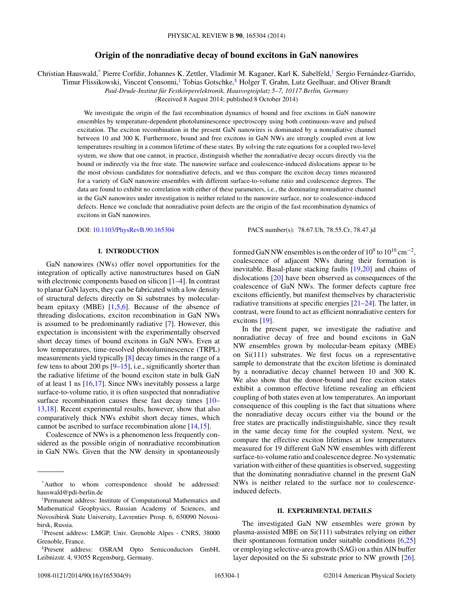# **Origin of the nonradiative decay of bound excitons in GaN nanowires**

Christian Hauswald,\* Pierre Corfdir, Johannes K. Zettler, Vladimir M. Kaganer, Karl K. Sabelfeld,† Sergio Fernandez-Garrido, ´

Timur Flissikowski, Vincent Consonni,‡ Tobias Gotschke,§ Holger T. Grahn, Lutz Geelhaar, and Oliver Brandt

*Paul-Drude-Institut fur Festk ¨ orperelektronik, Hausvogteiplatz 5–7, 10117 Berlin, Germany ¨*

(Received 8 August 2014; published 8 October 2014)

We investigate the origin of the fast recombination dynamics of bound and free excitons in GaN nanowire ensembles by temperature-dependent photoluminescence spectroscopy using both continuous-wave and pulsed excitation. The exciton recombination in the present GaN nanowires is dominated by a nonradiative channel between 10 and 300 K. Furthermore, bound and free excitons in GaN NWs are strongly coupled even at low temperatures resulting in a common lifetime of these states. By solving the rate equations for a coupled two-level system, we show that one cannot, in practice, distinguish whether the nonradiative decay occurs directly via the bound or indirectly via the free state. The nanowire surface and coalescence-induced dislocations appear to be the most obvious candidates for nonradiative defects, and we thus compare the exciton decay times measured for a variety of GaN nanowire ensembles with different surface-to-volume ratio and coalescence degrees. The data are found to exhibit no correlation with either of these parameters, i.e., the dominating nonradiative channel in the GaN nanowires under investigation is neither related to the nanowire surface, nor to coalescence-induced defects. Hence we conclude that nonradiative point defects are the origin of the fast recombination dynamics of excitons in GaN nanowires.

DOI: [10.1103/PhysRevB.90.165304](http://dx.doi.org/10.1103/PhysRevB.90.165304) PACS number(s): 78*.*67*.*Uh*,* 78*.*55*.*Cr*,* 78*.*47*.*jd

## **I. INTRODUCTION**

GaN nanowires (NWs) offer novel opportunities for the integration of optically active nanostructures based on GaN with electronic components based on silicon [\[1–4\]](#page-7-0). In contrast to planar GaN layers, they can be fabricated with a low density of structural defects directly on Si substrates by molecularbeam epitaxy (MBE)  $[1,5,6]$ . Because of the absence of threading dislocations, exciton recombination in GaN NWs is assumed to be predominantly radiative [\[7\]](#page-7-0). However, this expectation is inconsistent with the experimentally observed short decay times of bound excitons in GaN NWs. Even at low temperatures, time-resolved photoluminescence (TRPL) measurements yield typically [\[8\]](#page-7-0) decay times in the range of a few tens to about 200 ps [\[9](#page-7-0)[–15\]](#page-8-0), i.e., significantly shorter than the radiative lifetime of the bound exciton state in bulk GaN of at least 1 ns [\[16,17\]](#page-8-0). Since NWs inevitably possess a large surface-to-volume ratio, it is often suspected that nonradiative surface recombination causes these fast decay times [\[10–](#page-7-0) [13,18\]](#page-8-0). Recent experimental results, however, show that also comparatively thick NWs exhibit short decay times, which cannot be ascribed to surface recombination alone [\[14,15\]](#page-8-0).

Coalescence of NWs is a phenomenon less frequently considered as the possible origin of nonradiative recombination in GaN NWs. Given that the NW density in spontaneously formed GaN NW ensembles is on the order of  $10^9$  to  $10^{10}$  cm<sup>-2</sup>, coalescence of adjacent NWs during their formation is inevitable. Basal-plane stacking faults [\[19,20\]](#page-8-0) and chains of dislocations [\[20\]](#page-8-0) have been observed as consequences of the coalescence of GaN NWs. The former defects capture free excitons efficiently, but manifest themselves by characteristic radiative transitions at specific energies [\[21–24\]](#page-8-0). The latter, in contrast, were found to act as efficient nonradiative centers for excitons [\[19\]](#page-8-0).

In the present paper, we investigate the radiative and nonradiative decay of free and bound excitons in GaN NW ensembles grown by molecular-beam epitaxy (MBE) on Si(111) substrates. We first focus on a representative sample to demonstrate that the exciton lifetime is dominated by a nonradiative decay channel between 10 and 300 K. We also show that the donor-bound and free exciton states exhibit a common effective lifetime revealing an efficient coupling of both states even at low temperatures. An important consequence of this coupling is the fact that situations where the nonradiative decay occurs either via the bound or the free states are practically indistinguishable, since they result in the same decay time for the coupled system. Next, we compare the effective exciton lifetimes at low temperatures measured for 19 different GaN NW ensembles with different surface-to-volume ratio and coalescence degree. No systematic variation with either of these quantities is observed, suggesting that the dominating nonradiative channel in the present GaN NWs is neither related to the surface nor to coalescenceinduced defects.

### **II. EXPERIMENTAL DETAILS**

The investigated GaN NW ensembles were grown by plasma-assisted MBE on Si(111) substrates relying on either their spontaneous formation under suitable conditions [\[6](#page-7-0)[,25\]](#page-8-0) or employing selective-area growth (SAG) on a thin AlN buffer layer deposited on the Si substrate prior to NW growth [\[26\]](#page-8-0).

<sup>\*</sup>Author to whom correspondence should be addressed: hauswald@pdi-berlin.de

<sup>†</sup> Permanent address: Institute of Computational Mathematics and Mathematical Geophysics, Russian Academy of Sciences, and Novosibirsk State University, Lavrentiev Prosp. 6, 630090 Novosibirsk, Russia.

<sup>‡</sup> Present address: LMGP, Univ. Grenoble Alpes - CNRS, 38000 Grenoble, France.

<sup>§</sup>Present address: OSRAM Opto Semiconductors GmbH, Leibnizstr. 4, 93055 Regensburg, Germany.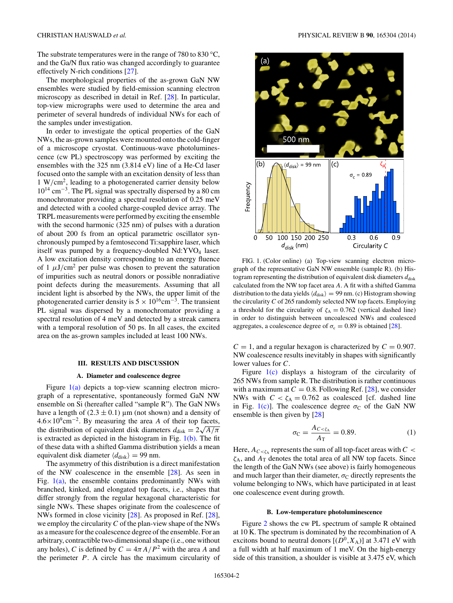<span id="page-1-0"></span>The substrate temperatures were in the range of 780 to 830 °C, and the Ga/N flux ratio was changed accordingly to guarantee effectively N-rich conditions [\[27\]](#page-8-0).

The morphological properties of the as-grown GaN NW ensembles were studied by field-emission scanning electron microscopy as described in detail in Ref. [\[28\]](#page-8-0). In particular, top-view micrographs were used to determine the area and perimeter of several hundreds of individual NWs for each of the samples under investigation.

In order to investigate the optical properties of the GaN NWs, the as-grown samples were mounted onto the cold-finger of a microscope cryostat. Continuous-wave photoluminescence (cw PL) spectroscopy was performed by exciting the ensembles with the 325 nm (3.814 eV) line of a He-Cd laser focused onto the sample with an excitation density of less than 1 W*/*cm2, leading to a photogenerated carrier density below  $10^{14}$  cm<sup>-3</sup>. The PL signal was spectrally dispersed by a 80 cm monochromator providing a spectral resolution of 0.25 meV and detected with a cooled charge-coupled device array. The TRPL measurements were performed by exciting the ensemble with the second harmonic (325 nm) of pulses with a duration of about 200 fs from an optical parametric oscillator synchronously pumped by a femtosecond Ti:sapphire laser, which itself was pumped by a frequency-doubled  $Nd:YVO<sub>4</sub>$  laser. A low excitation density corresponding to an energy fluence of 1  $\mu$ J/cm<sup>2</sup> per pulse was chosen to prevent the saturation of impurities such as neutral donors or possible nonradiative point defects during the measurements. Assuming that all incident light is absorbed by the NWs, the upper limit of the photogenerated carrier density is  $5 \times 10^{16}$ cm<sup>-3</sup>. The transient PL signal was dispersed by a monochromator providing a spectral resolution of 4 meV and detected by a streak camera with a temporal resolution of 50 ps. In all cases, the excited area on the as-grown samples included at least 100 NWs.

#### **III. RESULTS AND DISCUSSION**

#### **A. Diameter and coalescence degree**

Figure 1(a) depicts a top-view scanning electron micrograph of a representative, spontaneously formed GaN NW ensemble on Si (hereafter called "sample R"). The GaN NWs have a length of  $(2.3 \pm 0.1)$  µm (not shown) and a density of  $4.6 \times 10^{9}$ cm<sup>-2</sup>. By measuring the area *A* of their top facets,  $4.6 \times 10^6$  cm <sup>-</sup>. By measuring the area *A* or their top racets,<br>the distribution of equivalent disk diameters  $d_{disk} = 2\sqrt{A/\pi}$ is extracted as depicted in the histogram in Fig.  $1(b)$ . The fit of these data with a shifted Gamma distribution yields a mean equivalent disk diameter  $\langle d_{\text{disk}} \rangle = 99$  nm.

The asymmetry of this distribution is a direct manifestation of the NW coalescence in the ensemble [\[28\]](#page-8-0). As seen in Fig.  $1(a)$ , the ensemble contains predominantly NWs with branched, kinked, and elongated top facets, i.e., shapes that differ strongly from the regular hexagonal characteristic for single NWs. These shapes originate from the coalescence of NWs formed in close vicinity [\[28\]](#page-8-0). As proposed in Ref. [\[28\]](#page-8-0), we employ the circularity *C* of the plan-view shape of the NWs as a measure for the coalescence degree of the ensemble. For an arbitrary, contractible two-dimensional shape (i.e., one without any holes), *C* is defined by  $C = 4\pi A/P^2$  with the area *A* and the perimeter *P*. A circle has the maximum circularity of



FIG. 1. (Color online) (a) Top-view scanning electron micrograph of the representative GaN NW ensemble (sample R). (b) Histogram representing the distribution of equivalent disk diameters  $d_{\text{disk}}$ calculated from the NW top facet area *A*. A fit with a shifted Gamma distribution to the data yields  $\langle d_{disk} \rangle = 99$  nm. (c) Histogram showing the circularity *C* of 265 randomly selected NW top facets. Employing a threshold for the circularity of  $\zeta_A = 0.762$  (vertical dashed line) in order to distinguish between uncoalesced NWs and coalesced aggregates, a coalescence degree of  $\sigma_c = 0.89$  is obtained [\[28\]](#page-8-0).

 $C = 1$ , and a regular hexagon is characterized by  $C = 0.907$ . NW coalescence results inevitably in shapes with significantly lower values for *C*.

Figure 1(c) displays a histogram of the circularity of 265 NWs from sample R. The distribution is rather continuous with a maximum at  $C = 0.8$ . Following Ref. [\[28\]](#page-8-0), we consider NWs with  $C < \zeta_A = 0.762$  as coalesced [cf. dashed line in Fig. 1(c)]. The coalescence degree  $\sigma_C$  of the GaN NW ensemble is then given by [\[28\]](#page-8-0)

$$
\sigma_{\rm C} = \frac{A_{C < \zeta_{\rm A}}}{A_{\rm T}} = 0.89. \tag{1}
$$

Here,  $A_{C \le \zeta_A}$  represents the sum of all top-facet areas with  $C <$ *ζ*A, and *A*<sup>T</sup> denotes the total area of all NW top facets. Since the length of the GaN NWs (see above) is fairly homogeneous and much larger than their diameter,  $\sigma_C$  directly represents the volume belonging to NWs, which have participated in at least one coalescence event during growth.

#### **B. Low-temperature photoluminescence**

Figure [2](#page-2-0) shows the cw PL spectrum of sample R obtained at 10 K. The spectrum is dominated by the recombination of A excitons bound to neutral donors  $[(D^0, X_A)]$  at 3.471 eV with a full width at half maximum of 1 meV. On the high-energy side of this transition, a shoulder is visible at 3.475 eV, which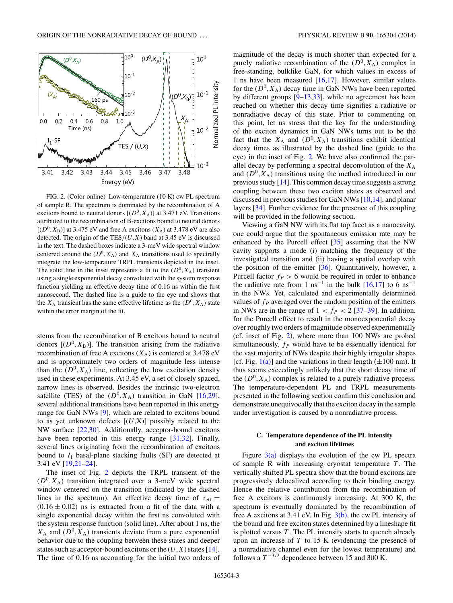<span id="page-2-0"></span>

FIG. 2. (Color online) Low-temperature (10 K) cw PL spectrum of sample R. The spectrum is dominated by the recombination of A excitons bound to neutral donors  $[(D^0, X_A)]$  at 3.471 eV. Transitions attributed to the recombination of B-excitons bound to neutral donors  $[(D^0, X_B)]$  at 3.475 eV and free A excitons  $(X_A)$  at 3.478 eV are also detected. The origin of the TES*/*(*U,X*) band at 3.45 eV is discussed in the text. The dashed boxes indicate a 3-meV wide spectral window centered around the  $(D^0, X_A)$  and  $X_A$  transitions used to spectrally integrate the low-temperature TRPL transients depicted in the inset. The solid line in the inset represents a fit to the  $(D^0, X_A)$  transient using a single exponential decay convoluted with the system response function yielding an effective decay time of 0.16 ns within the first nanosecond. The dashed line is a guide to the eye and shows that the  $X_A$  transient has the same effective lifetime as the  $(D^0, X_A)$  state within the error margin of the fit.

stems from the recombination of B excitons bound to neutral donors  $[(D^0, X_B)]$ . The transition arising from the radiative recombination of free A excitons  $(X_A)$  is centered at 3.478 eV and is approximately two orders of magnitude less intense than the  $(D^0, X_A)$  line, reflecting the low excitation density used in these experiments. At 3.45 eV, a set of closely spaced, narrow lines is observed. Besides the intrinsic two-electron satellite (TES) of the  $(D^0, X_A)$  transition in GaN [\[16,29\]](#page-8-0), several additional transitions have been reported in this energy range for GaN NWs [\[9\]](#page-7-0), which are related to excitons bound to as yet unknown defects [(*U*,X)] possibly related to the NW surface [\[22,30\]](#page-8-0). Additionally, acceptor-bound excitons have been reported in this energy range [\[31,32\]](#page-8-0). Finally, several lines originating from the recombination of excitons bound to  $I_1$  basal-plane stacking faults (SF) are detected at 3.41 eV [\[19,21–24\]](#page-8-0).

The inset of Fig. 2 depicts the TRPL transient of the  $(D^0, X_A)$  transition integrated over a 3-meV wide spectral window centered on the transition (indicated by the dashed lines in the spectrum). An effective decay time of  $\tau_{\text{eff}} =$  $(0.16 \pm 0.02)$  ns is extracted from a fit of the data with a single exponential decay within the first ns convoluted with the system response function (solid line). After about 1 ns, the  $X_A$  and  $(D^0, X_A)$  transients deviate from a pure exponential behavior due to the coupling between these states and deeper states such as acceptor-bound excitons or the  $(U, X)$  states [\[14\]](#page-8-0). The time of 0.16 ns accounting for the initial two orders of magnitude of the decay is much shorter than expected for a purely radiative recombination of the  $(D^0, X_A)$  complex in free-standing, bulklike GaN, for which values in excess of 1 ns have been measured  $[16,17]$ . However, similar values for the  $(D^0, X_A)$  decay time in GaN NWs have been reported by different groups [\[9–](#page-7-0)[13,33\]](#page-8-0), while no agreement has been reached on whether this decay time signifies a radiative or nonradiative decay of this state. Prior to commenting on this point, let us stress that the key for the understanding of the exciton dynamics in GaN NWs turns out to be the fact that the  $X_A$  and  $(D^0, X_A)$  transitions exhibit identical decay times as illustrated by the dashed line (guide to the eye) in the inset of Fig. 2. We have also confirmed the parallel decay by performing a spectral deconvolution of the  $X_A$ and  $(D^0, X_A)$  transitions using the method introduced in our previous study [\[14\]](#page-8-0). This common decay time suggests a strong coupling between these two exciton states as observed and discussed in previous studies for GaN NWs [\[10,](#page-7-0)[14\]](#page-8-0), and planar layers [\[34\]](#page-8-0). Further evidence for the presence of this coupling will be provided in the following section.

Viewing a GaN NW with its flat top facet as a nanocavity, one could argue that the spontaneous emission rate may be enhanced by the Purcell effect [\[35\]](#page-8-0) assuming that the NW cavity supports a mode (i) matching the frequency of the investigated transition and (ii) having a spatial overlap with the position of the emitter  $[36]$ . Quantitatively, however, a Purcell factor  $f_P > 6$  would be required in order to enhance the radiative rate from 1 ns<sup>-1</sup> in the bulk [\[16,17\]](#page-8-0) to 6 ns<sup>-1</sup> in the NWs. Yet, calculated and experimentally determined values of  $f_P$  averaged over the random position of the emitters in NWs are in the range of  $1 < f_P < 2$  [\[37–39\]](#page-8-0). In addition, for the Purcell effect to result in the monoexponential decay over roughly two orders of magnitude observed experimentally (cf. inset of Fig. 2), where more than 100 NWs are probed simultaneously,  $f_P$  would have to be essentially identical for the vast majority of NWs despite their highly irregular shapes [cf. Fig.  $1(a)$ ] and the variations in their length ( $\pm 100$  nm). It thus seems exceedingly unlikely that the short decay time of the  $(D^0, X_A)$  complex is related to a purely radiative process. The temperature-dependent PL and TRPL measurements presented in the following section confirm this conclusion and demonstrate unequivocally that the exciton decay in the sample under investigation is caused by a nonradiative process.

# **C. Temperature dependence of the PL intensity and exciton lifetimes**

Figure  $3(a)$  displays the evolution of the cw PL spectra of sample R with increasing cryostat temperature *T* . The vertically shifted PL spectra show that the bound excitons are progressively delocalized according to their binding energy. Hence the relative contribution from the recombination of free A excitons is continuously increasing. At 300 K, the spectrum is eventually dominated by the recombination of free A excitons at 3.41 eV. In Fig. [3\(b\),](#page-3-0) the cw PL intensity of the bound and free exciton states determined by a lineshape fit is plotted versus *T* . The PL intensity starts to quench already upon an increase of *T* to 15 K (evidencing the presence of a nonradiative channel even for the lowest temperature) and follows a  $T^{-3/2}$  dependence between 15 and 300 K.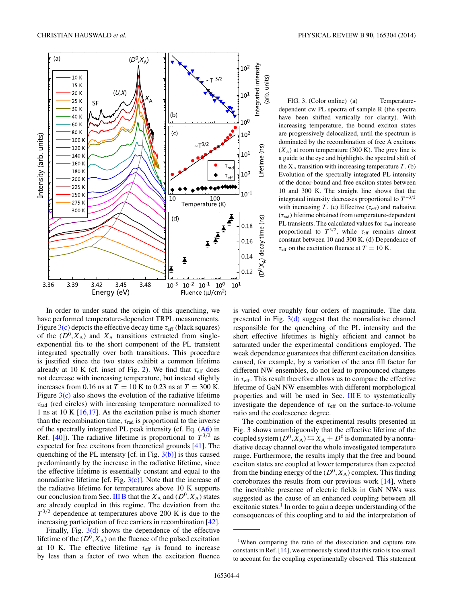<span id="page-3-0"></span>

FIG. 3. (Color online) (a) Temperaturedependent cw PL spectra of sample R (the spectra have been shifted vertically for clarity). With increasing temperature, the bound exciton states are progressively delocalized, until the spectrum is dominated by the recombination of free A excitons  $(X_A)$  at room temperature (300 K). The grey line is a guide to the eye and highlights the spectral shift of the  $X_A$  transition with increasing temperature  $T \cdot (b)$ Evolution of the spectrally integrated PL intensity of the donor-bound and free exciton states between 10 and 300 K. The straight line shows that the integrated intensity decreases proportional to  $T^{-3/2}$ with increasing *T*. (c) Effective ( $\tau_{\text{eff}}$ ) and radiative (*τ*rad) lifetime obtained from temperature-dependent PL transients. The calculated values for  $\tau_{rad}$  increase proportional to  $T^{3/2}$ , while  $\tau_{\text{eff}}$  remains almost constant between 10 and 300 K. (d) Dependence of  $\tau_{\text{eff}}$  on the excitation fluence at  $T = 10$  K.

In order to under stand the origin of this quenching, we have performed temperature-dependent TRPL measurements. Figure 3(c) depicts the effective decay time  $τ_{\text{eff}}$  (black squares) of the  $(D^0, X_A)$  and  $X_A$  transitions extracted from singleexponential fits to the short component of the PL transient integrated spectrally over both transitions. This procedure is justified since the two states exhibit a common lifetime already at 10 K (cf. inset of Fig. [2\)](#page-2-0). We find that  $\tau_{\text{eff}}$  does not decrease with increasing temperature, but instead slightly increases from 0.16 ns at  $T = 10$  K to 0.23 ns at  $T = 300$  K. Figure  $3(c)$  also shows the evolution of the radiative lifetime *τ*rad (red circles) with increasing temperature normalized to 1 ns at 10 K  $[16,17]$ . As the excitation pulse is much shorter than the recombination time,  $\tau_{rad}$  is proportional to the inverse of the spectrally integrated PL peak intensity **(**cf. Eq. [\(A6\)](#page-7-0) in Ref. [\[40\]](#page-8-0)). The radiative lifetime is proportional to  $T^{3/2}$  as expected for free excitons from theoretical grounds [\[41\]](#page-8-0). The quenching of the PL intensity [cf. in Fig.  $3(b)$ ] is thus caused predominantly by the increase in the radiative lifetime, since the effective lifetime is essentially constant and equal to the nonradiative lifetime [cf. Fig.  $3(c)$ ]. Note that the increase of the radiative lifetime for temperatures above 10 K supports our conclusion from Sec. [III B](#page-1-0) that the  $X_A$  and  $(D^0, X_A)$  states are already coupled in this regime. The deviation from the *T* <sup>3</sup>*/*<sup>2</sup> dependence at temperatures above 200 K is due to the increasing participation of free carriers in recombination [\[42\]](#page-8-0).

Finally, Fig.  $3(d)$  shows the dependence of the effective lifetime of the  $(D^0, X_A)$  on the fluence of the pulsed excitation at 10 K. The effective lifetime *τ*eff is found to increase by less than a factor of two when the excitation fluence is varied over roughly four orders of magnitude. The data presented in Fig.  $3(d)$  suggest that the nonradiative channel responsible for the quenching of the PL intensity and the short effective lifetimes is highly efficient and cannot be saturated under the experimental conditions employed. The weak dependence guarantees that different excitation densities caused, for example, by a variation of the area fill factor for different NW ensembles, do not lead to pronounced changes in  $\tau_{\rm eff}$ . This result therefore allows us to compare the effective lifetime of GaN NW ensembles with different morphological properties and will be used in Sec. [III E](#page-5-0) to systematically investigate the dependence of  $\tau_{\text{eff}}$  on the surface-to-volume ratio and the coalescence degree.

The combination of the experimental results presented in Fig. 3 shows unambiguously that the effective lifetime of the coupled system  $(D^0, X_A) \leftrightarrows X_A + D^0$  is dominated by a nonradiative decay channel over the whole investigated temperature range. Furthermore, the results imply that the free and bound exciton states are coupled at lower temperatures than expected from the binding energy of the  $(D^0, X_A)$  complex. This finding corroborates the results from our previous work [\[14\]](#page-8-0), where the inevitable presence of electric fields in GaN NWs was suggested as the cause of an enhanced coupling between all excitonic states.<sup>1</sup> In order to gain a deeper understanding of the consequences of this coupling and to aid the interpretation of

<sup>&</sup>lt;sup>1</sup>When comparing the ratio of the dissociation and capture rate constants in Ref. [\[14\]](#page-8-0), we erroneously stated that this ratio is too small to account for the coupling experimentally observed. This statement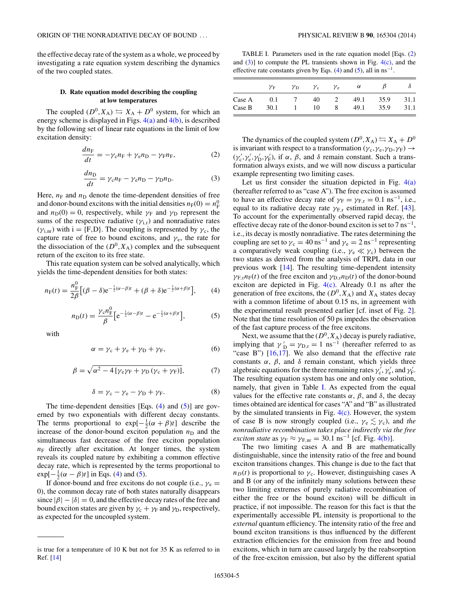<span id="page-4-0"></span>the effective decay rate of the system as a whole, we proceed by investigating a rate equation system describing the dynamics of the two coupled states.

### **D. Rate equation model describing the coupling at low temperatures**

The coupled  $(D^0, X_A) \leftrightarrows X_A + D^0$  system, for which an energy scheme is displayed in Figs.  $4(a)$  and  $4(b)$ , is described by the following set of linear rate equations in the limit of low excitation density:

$$
\frac{dn_{\rm F}}{dt} = -\gamma_{\rm c}n_{\rm F} + \gamma_{\rm e}n_{\rm D} - \gamma_{\rm F}n_{\rm F},\tag{2}
$$

$$
\frac{dn_{\rm D}}{dt} = \gamma_{\rm c} n_{\rm F} - \gamma_{\rm e} n_{\rm D} - \gamma_{\rm D} n_{\rm D}.\tag{3}
$$

Here,  $n_F$  and  $n_D$  denote the time-dependent densities of free and donor-bound excitons with the initial densities  $n_F(0) = n_F^0$ and  $n_D(0) = 0$ , respectively, while  $\gamma_F$  and  $\gamma_D$  represent the sums of the respective radiative ( $\gamma$ <sub>i,r</sub>) and nonradiative rates  $(\gamma_{i,nr})$  with i = {F,D}. The coupling is represented by  $\gamma_c$ , the capture rate of free to bound excitons, and  $\gamma_e$ , the rate for the dissociation of the  $(D^0, X_A)$  complex and the subsequent return of the exciton to its free state.

This rate equation system can be solved analytically, which yields the time-dependent densities for both states:

$$
n_{\rm F}(t) = \frac{n_{\rm F}^0}{2\beta} \left[ (\beta - \delta) e^{-\frac{1}{2}(\alpha - \beta)t} + (\beta + \delta) e^{-\frac{1}{2}(\alpha + \beta)t} \right],\tag{4}
$$

$$
n_{\rm D}(t) = \frac{\gamma_{\rm c} n_{\rm F}^0}{\beta} \Big[ e^{-\frac{1}{2}(\alpha - \beta)t} - e^{-\frac{1}{2}(\alpha + \beta)t} \Big],\tag{5}
$$

with

$$
\alpha = \gamma_c + \gamma_e + \gamma_D + \gamma_F, \tag{6}
$$

$$
\beta = \sqrt{\alpha^2 - 4\left[\gamma_e \gamma_F + \gamma_D \left(\gamma_c + \gamma_F\right)\right]},\tag{7}
$$

$$
\delta = \gamma_c - \gamma_e - \gamma_D + \gamma_F. \tag{8}
$$

The time-dependent densities [Eqs.  $(4)$  and  $(5)$ ] are governed by two exponentials with different decay constants. The terms proportional to  $exp[-\frac{1}{2}(\alpha + \beta)t]$  describe the increase of the donor-bound exciton population  $n_D$  and the simultaneous fast decrease of the free exciton population  $n_F$  directly after excitation. At longer times, the system reveals its coupled nature by exhibiting a common effective decay rate, which is represented by the terms proportional to  $\exp[-\frac{1}{2}(\alpha - \beta)t]$  in Eqs. (4) and (5).

If donor-bound and free excitons do not couple (i.e.,  $\gamma_e$  = 0), the common decay rate of both states naturally disappears since  $|\beta| - |\delta| = 0$ , and the effective decay rates of the free and bound exciton states are given by  $\gamma_c + \gamma_F$  and  $\gamma_D$ , respectively, as expected for the uncoupled system.

TABLE I. Parameters used in the rate equation model [Eqs. (2) and  $(3)$ ] to compute the PL transients shown in Fig. [4\(c\),](#page-5-0) and the effective rate constants given by Eqs. (4) and (5), all in  $ns^{-1}$ .

|        | ${\gamma}_{\rm F}$ | $\gamma_{\rm D}$ | $\gamma_{\rm c}$ | $\gamma_{\rm e}$ | $\alpha$ |      |      |
|--------|--------------------|------------------|------------------|------------------|----------|------|------|
| Case A | 0.1                |                  | 40               |                  | 49.1     | 35.9 | 31.1 |
| Case B | 30.1               |                  | 10               | 8                | 49.1     | 35.9 | 31.1 |

The dynamics of the coupled system  $(D^0, X_A) \leftrightarrows X_A + D^0$ is invariant with respect to a transformation ( $\gamma_c$ ,  $\gamma_e$ ,  $\gamma_D$ ,  $\gamma_F$ )  $\rightarrow$  $(\gamma_c', \gamma_c', \gamma_D', \gamma_F')$ , if  $\alpha$ ,  $\beta$ , and  $\delta$  remain constant. Such a transformation always exists, and we will now discuss a particular example representing two limiting cases.

Let us first consider the situation depicted in Fig.  $4(a)$ (hereafter referred to as "case A"). The free exciton is assumed to have an effective decay rate of  $\gamma_F = \gamma_{F,r} = 0.1 \text{ ns}^{-1}$ , i.e., equal to its radiative decay rate  $\gamma_{F,r}$  estimated in Ref. [\[43\]](#page-8-0). To account for the experimentally observed rapid decay, the effective decay rate of the donor-bound exciton is set to  $7 \text{ ns}^{-1}$ , i.e., its decay is mostly nonradiative. The rates determining the coupling are set to  $\gamma_c = 40 \text{ ns}^{-1}$  and  $\gamma_e = 2 \text{ ns}^{-1}$  representing a comparatively weak coupling (i.e.,  $\gamma_e \ll \gamma_c$ ) between the two states as derived from the analysis of TRPL data in our previous work [\[14\]](#page-8-0). The resulting time-dependent intensity  $\gamma_{F,r}n_F(t)$  of the free exciton and  $\gamma_{D,r}n_D(t)$  of the donor-bound exciton are depicted in Fig.  $4(c)$ . Already 0.1 ns after the generation of free excitons, the  $(D^0, X_A)$  and  $X_A$  states decay with a common lifetime of about 0.15 ns, in agreement with the experimental result presented earlier [cf. inset of Fig. [2\]](#page-2-0). Note that the time resolution of 50 ps impedes the observation of the fast capture process of the free excitons.

Next, we assume that the  $(D^0, X_A)$  decay is purely radiative, implying that  $\gamma'_{\text{D}} = \gamma_{\text{D},r} = 1 \text{ ns}^{-1}$  (hereafter referred to as "case B")  $[16,17]$ . We also demand that the effective rate constants *α*, *β*, and *δ* remain constant, which yields three algebraic equations for the three remaining rates  $\gamma_c^{\prime}$ ,  $\gamma_e^{\prime}$ , and  $\gamma_F^{\prime}$ . The resulting equation system has one and only one solution, namely, that given in Table I. As expected from the equal values for the effective rate constants *α*, *β*, and *δ*, the decay times obtained are identical for cases "A" and "B" as illustrated by the simulated transients in Fig.  $4(c)$ . However, the system of case B is now strongly coupled (i.e.,  $\gamma_e \lesssim \gamma_c$ ), and *the nonradiative recombination takes place indirectly via the free exciton state* as  $\gamma_F \approx \gamma_{F,nr} = 30.1 \text{ ns}^{-1}$  [cf. Fig. [4\(b\)\]](#page-5-0).

The two limiting cases A and B are mathematically distinguishable, since the intensity ratio of the free and bound exciton transitions changes. This change is due to the fact that  $n_D(t)$  is proportional to  $\gamma_c$ . However, distinguishing cases A and B (or any of the infinitely many solutions between these two limiting extremes of purely radiative recombination of either the free or the bound exciton) will be difficult in practice, if not impossible. The reason for this fact is that the experimentally accessible PL intensity is proportional to the *external* quantum efficiency. The intensity ratio of the free and bound exciton transitions is thus influenced by the different extraction efficiencies for the emission from free and bound excitons, which in turn are caused largely by the reabsorption of the free-exciton emission, but also by the different spatial

is true for a temperature of 10 K but not for 35 K as referred to in Ref. [\[14\]](#page-8-0)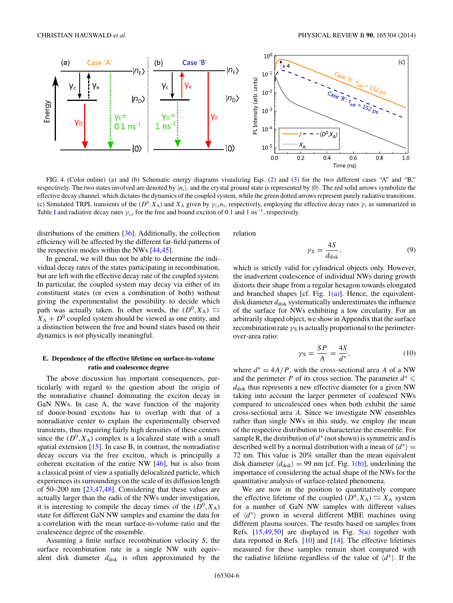<span id="page-5-0"></span>

FIG. 4. (Color online) (a) and (b) Schematic energy diagrams visualizing Eqs. [\(2\)](#page-4-0) and [\(3\)](#page-4-0) for the two different cases "A" and "B," respectively. The two states involved are denoted by  $|n_i\rangle$ , and the crystal ground state is represented by  $|0\rangle$ . The red solid arrows symbolize the effective decay channel, which dictates the dynamics of the coupled system, while the green dotted arrows represent purely radiative transitions. (c) Simulated TRPL transients of the  $(D^0, X_A)$  and  $X_A$  given by  $\gamma_{i,r}n_i$ , respectively, employing the effective decay rates  $\gamma_i$  as summarized in Table [I](#page-4-0) and radiative decay rates  $\gamma_{i,r}$  for the free and bound exciton of 0.1 and 1 ns<sup>-1</sup>, respectively.

distributions of the emitters [\[36\]](#page-8-0). Additionally, the collection efficiency will be affected by the different far-field patterns of the respective modes within the NWs [\[44,45\]](#page-8-0).

In general, we will thus not be able to determine the individual decay rates of the states participating in recombination, but are left with the effective decay rate of the coupled system. In particular, the coupled system may decay via either of its constituent states (or even a combination of both) without giving the experimentalist the possibility to decide which path was actually taken. In other words, the  $(D^0, X_A) \leftrightarrow$  $X_A + D^0$  coupled system should be viewed as one entity, and a distinction between the free and bound states based on their dynamics is not physically meaningful.

# **E. Dependence of the effective lifetime on surface-to-volume ratio and coalescence degree**

The above discussion has important consequences, particularly with regard to the question about the origin of the nonradiative channel dominating the exciton decay in GaN NWs. In case A, the wave function of the majority of donor-bound excitons has to overlap with that of a nonradiative center to explain the experimentally observed transients, thus requiring fairly high densities of these centers since the  $(D^0, X_A)$  complex is a localized state with a small spatial extension [\[15\]](#page-8-0). In case B, in contrast, the nonradiative decay occurs via the free exciton, which is principally a coherent excitation of the entire NW [\[46\]](#page-8-0), but is also from a classical point of view a spatially delocalized particle, which experiences its surroundings on the scale of its diffusion length of 50–200 nm [\[23,47,48\]](#page-8-0). Considering that these values are actually larger than the radii of the NWs under investigation, it is interesting to compile the decay times of the  $(D^0, X_A)$ state for different GaN NW samples and examine the data for a correlation with the mean surface-to-volume ratio and the coalescence degree of the ensemble.

Assuming a finite surface recombination velocity *S*, the surface recombination rate in a single NW with equivalent disk diameter  $d_{disk}$  is often approximated by the relation

$$
\gamma_{\rm S} = \frac{4S}{d_{\rm disk}},\tag{9}
$$

which is strictly valid for cylindrical objects only. However, the inadvertent coalescence of individual NWs during growth distorts their shape from a regular hexagon towards elongated and branched shapes [cf. Fig.  $1(a)$ ]. Hence, the equivalentdisk diameter  $d_{\text{disk}}$  systematically underestimates the influence of the surface for NWs exhibiting a low circularity. For an arbitrarily shaped object, we show in Appendix that the surface recombination rate  $\gamma_s$  is actually proportional to the perimeterover-area ratio:

$$
\gamma_{\rm S} = \frac{SP}{A} = \frac{4S}{d^*},\tag{10}
$$

where  $d^* = 4A/P$ , with the cross-sectional area *A* of a NW and the perimeter *P* of its cross section. The parameter  $d^* \leq$  $d_{disk}$  thus represents a new effective diameter for a given NW taking into account the larger perimeter of coalesced NWs compared to uncoalesced ones when both exhibit the same cross-sectional area *A*. Since we investigate NW ensembles rather than single NWs in this study, we employ the mean of the respective distribution to characterize the ensemble. For sample R, the distribution of  $d^*$  (not shown) is symmetric and is described well by a normal distribution with a mean of  $\langle d^* \rangle$  = 72 nm. This value is 20% smaller than the mean equivalent disk diameter  $\langle d_{\text{disk}} \rangle = 99$  nm [cf. Fig. [1\(b\)\]](#page-1-0), underlining the importance of considering the actual shape of the NWs for the quantitative analysis of surface-related phenomena.

We are now in the position to quantitatively compare the effective lifetime of the coupled  $(D^0, X_A) \leftrightarrows X_A$  system for a number of GaN NW samples with different values of *(d*<sup>∗</sup>) grown in several different MBE machines using different plasma sources. The results based on samples from Refs.  $[15,49,50]$  are displayed in Fig.  $5(a)$  together with data reported in Refs. [\[10\]](#page-7-0) and [\[14\]](#page-8-0). The effective lifetimes measured for these samples remain short compared with the radiative lifetime regardless of the value of  $\langle d^* \rangle$ . If the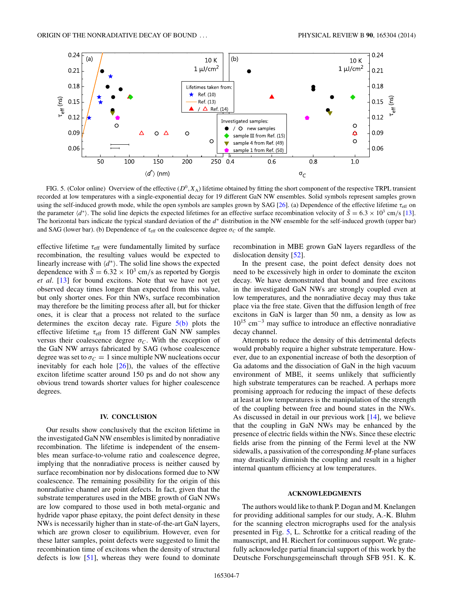<span id="page-6-0"></span>

FIG. 5. (Color online) Overview of the effective  $(D^0, X_A)$  lifetime obtained by fitting the short component of the respective TRPL transient recorded at low temperatures with a single-exponential decay for 19 different GaN NW ensembles. Solid symbols represent samples grown using the self-induced growth mode, while the open symbols are samples grown by SAG [\[26\]](#page-8-0). (a) Dependence of the effective lifetime *τ*eff on the parameter  $\langle d^* \rangle$ . The solid line depicts the expected lifetimes for an effective surface recombination velocity of  $\tilde{S} = 6.3 \times 10^3$  cm/s [\[13\]](#page-8-0). The horizontal bars indicate the typical standard deviation of the *d*<sup>∗</sup> distribution in the NW ensemble for the self-induced growth (upper bar) and SAG (lower bar). (b) Dependence of  $\tau_{\text{eff}}$  on the coalescence degree  $\sigma_C$  of the sample.

effective lifetime  $\tau_{\text{eff}}$  were fundamentally limited by surface recombination, the resulting values would be expected to linearly increase with  $\langle d^* \rangle$ . The solid line shows the expected dependence with  $\tilde{S} = 6.32 \times 10^3$  cm/s as reported by Gorgis *et al*. [\[13\]](#page-8-0) for bound excitons. Note that we have not yet observed decay times longer than expected from this value, but only shorter ones. For thin NWs, surface recombination may therefore be the limiting process after all, but for thicker ones, it is clear that a process not related to the surface determines the exciton decay rate. Figure 5(b) plots the effective lifetime *τ*eff from 15 different GaN NW samples versus their coalescence degree  $\sigma_C$ . With the exception of the GaN NW arrays fabricated by SAG (whose coalescence degree was set to  $\sigma_C = 1$  since multiple NW nucleations occur inevitably for each hole  $[26]$ , the values of the effective exciton lifetime scatter around 150 ps and do not show any obvious trend towards shorter values for higher coalescence degrees.

# **IV. CONCLUSION**

Our results show conclusively that the exciton lifetime in the investigated GaN NW ensembles is limited by nonradiative recombination. The lifetime is independent of the ensembles mean surface-to-volume ratio and coalescence degree, implying that the nonradiative process is neither caused by surface recombination nor by dislocations formed due to NW coalescence. The remaining possibility for the origin of this nonradiative channel are point defects. In fact, given that the substrate temperatures used in the MBE growth of GaN NWs are low compared to those used in both metal-organic and hydride vapor phase epitaxy, the point defect density in these NWs is necessarily higher than in state-of-the-art GaN layers, which are grown closer to equilibrium. However, even for these latter samples, point defects were suggested to limit the recombination time of excitons when the density of structural defects is low [\[51\]](#page-8-0), whereas they were found to dominate recombination in MBE grown GaN layers regardless of the dislocation density [\[52\]](#page-8-0).

In the present case, the point defect density does not need to be excessively high in order to dominate the exciton decay. We have demonstrated that bound and free excitons in the investigated GaN NWs are strongly coupled even at low temperatures, and the nonradiative decay may thus take place via the free state. Given that the diffusion length of free excitons in GaN is larger than 50 nm, a density as low as 1015 cm<sup>−</sup><sup>3</sup> may suffice to introduce an effective nonradiative decay channel.

Attempts to reduce the density of this detrimental defects would probably require a higher substrate temperature. However, due to an exponential increase of both the desorption of Ga adatoms and the dissociation of GaN in the high vacuum environment of MBE, it seems unlikely that sufficiently high substrate temperatures can be reached. A perhaps more promising approach for reducing the impact of these defects at least at low temperatures is the manipulation of the strength of the coupling between free and bound states in the NWs. As discussed in detail in our previous work [\[14\]](#page-8-0), we believe that the coupling in GaN NWs may be enhanced by the presence of electric fields within the NWs. Since these electric fields arise from the pinning of the Fermi level at the NW sidewalls, a passivation of the corresponding *M*-plane surfaces may drastically diminish the coupling and result in a higher internal quantum efficiency at low temperatures.

#### **ACKNOWLEDGMENTS**

The authors would like to thank P. Dogan and M. Knelangen for providing additional samples for our study, A.-K. Bluhm for the scanning electron micrographs used for the analysis presented in Fig. 5, L. Schrottke for a critical reading of the manuscript, and H. Riechert for continuous support. We gratefully acknowledge partial financial support of this work by the Deutsche Forschungsgemeinschaft through SFB 951. K. K.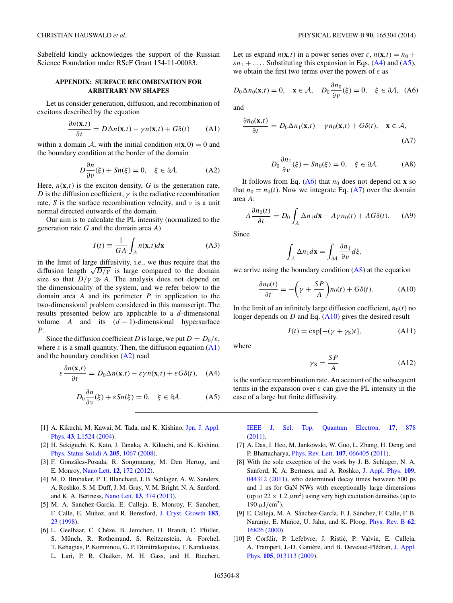<span id="page-7-0"></span>Sabelfeld kindly acknowledges the support of the Russian Science Foundation under RScF Grant 154-11-00083.

## **APPENDIX: SURFACE RECOMBINATION FOR ARBITRARY NW SHAPES**

Let us consider generation, diffusion, and recombination of excitons described by the equation

$$
\frac{\partial n(\mathbf{x},t)}{\partial t} = D\Delta n(\mathbf{x},t) - \gamma n(\mathbf{x},t) + G\delta(t) \tag{A1}
$$

within a domain A, with the initial condition  $n(\mathbf{x},0) = 0$  and the boundary condition at the border of the domain

$$
D\frac{\partial n}{\partial \nu}(\xi) + Sn(\xi) = 0, \quad \xi \in \partial A.
$$
 (A2)

Here,  $n(\mathbf{x},t)$  is the exciton density, G is the generation rate, *D* is the diffusion coefficient,  $\gamma$  is the radiative recombination rate, *S* is the surface recombination velocity, and *ν* is a unit normal directed outwards of the domain.

Our aim is to calculate the PL intensity (normalized to the generation rate *G* and the domain area *A*)

$$
I(t) \equiv \frac{1}{GA} \int_{A} n(\mathbf{x}, t) d\mathbf{x}
$$
 (A3)

in the limit of large diffusivity, i.e., we thus require that the diffusion length  $\sqrt{D/\gamma}$  is large compared to the domain size so that  $D/\gamma \gg A$ . The analysis does not depend on the dimensionality of the system, and we refer below to the domain area *A* and its perimeter *P* in application to the two-dimensional problem considered in this manuscript. The results presented below are applicable to a *d*-dimensional volume *A* and its  $(d-1)$ -dimensional hypersurface *P*.

Since the diffusion coefficient *D* is large, we put  $D = D_0/\varepsilon$ , where  $\varepsilon$  is a small quantity. Then, the diffusion equation  $(A1)$ and the boundary condition (A2) read

$$
\varepsilon \frac{\partial n(\mathbf{x},t)}{\partial t} = D_0 \Delta n(\mathbf{x},t) - \varepsilon \gamma n(\mathbf{x},t) + \varepsilon G \delta(t), \quad \text{(A4)}
$$

$$
D_0 \frac{\partial n}{\partial \nu}(\xi) + \varepsilon S n(\xi) = 0, \quad \xi \in \partial \mathcal{A}.
$$
 (A5)

- [1] [A. Kikuchi, M. Kawai, M. Tada, and K. Kishino,](http://dx.doi.org/10.1143/JJAP.43.L1524) Jpn. J. Appl. Phys. **[43](http://dx.doi.org/10.1143/JJAP.43.L1524)**, [L1524](http://dx.doi.org/10.1143/JJAP.43.L1524) [\(2004\)](http://dx.doi.org/10.1143/JJAP.43.L1524).
- [2] H. Sekiguchi, K. Kato, J. Tanaka, A. Kikuchi, and K. Kishino, [Phys. Status Solidi A](http://dx.doi.org/10.1002/pssa.200778733) **[205](http://dx.doi.org/10.1002/pssa.200778733)**, [1067](http://dx.doi.org/10.1002/pssa.200778733) [\(2008\)](http://dx.doi.org/10.1002/pssa.200778733).
- [3] F. González-Posada, R. Songmuang, M. Den Hertog, and E. Monroy, [Nano Lett.](http://dx.doi.org/10.1021/nl2032684) **[12](http://dx.doi.org/10.1021/nl2032684)**, [172](http://dx.doi.org/10.1021/nl2032684) [\(2012\)](http://dx.doi.org/10.1021/nl2032684).
- [4] M. D. Brubaker, P. T. Blanchard, J. B. Schlager, A. W. Sanders, A. Roshko, S. M. Duff, J. M. Gray, V. M. Bright, N. A. Sanford, and K. A. Bertness, [Nano Lett.](http://dx.doi.org/10.1021/nl303510h) **[13](http://dx.doi.org/10.1021/nl303510h)**, [374](http://dx.doi.org/10.1021/nl303510h) [\(2013\)](http://dx.doi.org/10.1021/nl303510h).
- [5] M. A. Sanchez-García, E. Calleja, E. Monroy, F. Sanchez, F. Calle, E. Munoz, and R. Beresford, ˜ [J. Cryst. Growth](http://dx.doi.org/10.1016/S0022-0248(97)00386-2) **[183](http://dx.doi.org/10.1016/S0022-0248(97)00386-2)**, [23](http://dx.doi.org/10.1016/S0022-0248(97)00386-2) [\(1998\)](http://dx.doi.org/10.1016/S0022-0248(97)00386-2).
- [6] L. Geelhaar, C. Chèze, B. Jenichen, O. Brandt, C. Pfüller, S. Münch, R. Rothemund, S. Reitzenstein, A. Forchel, T. Kehagias, P. Komninou, G. P. Dimitrakopulos, T. Karakostas, L. Lari, P. R. Chalker, M. H. Gass, and H. Riechert,

Let us expand  $n(\mathbf{x},t)$  in a power series over  $\varepsilon$ ,  $n(\mathbf{x},t) = n_0 +$  $\varepsilon n_1 + \ldots$  Substituting this expansion in Eqs. (A4) and (A5), we obtain the first two terms over the powers of *ε* as

$$
D_0 \Delta n_0(\mathbf{x}, t) = 0, \quad \mathbf{x} \in \mathcal{A}, \quad D_0 \frac{\partial n_0}{\partial \nu}(\xi) = 0, \quad \xi \in \partial \mathcal{A}, \quad (A6)
$$

and

$$
\frac{\partial n_0(\mathbf{x},t)}{\partial t} = D_0 \Delta n_1(\mathbf{x},t) - \gamma n_0(\mathbf{x},t) + G\delta(t), \quad \mathbf{x} \in \mathcal{A},
$$
\n(A7)

$$
D_0 \frac{\partial n_1}{\partial \nu}(\xi) + Sn_0(\xi) = 0, \quad \xi \in \partial \mathcal{A}.
$$
 (A8)

It follows from Eq.  $(A6)$  that  $n_0$  does not depend on **x** so that  $n_0 = n_0(t)$ . Now we integrate Eq. (A7) over the domain area *A*:

$$
A\frac{\partial n_0(t)}{\partial t} = D_0 \int_A \Delta n_1 d\mathbf{x} - A\gamma n_0(t) + A G \delta(t). \tag{A9}
$$

Since

$$
\int_{A} \Delta n_1 d\mathbf{x} = \int_{\partial A} \frac{\partial n_1}{\partial \nu} d\xi,
$$

we arrive using the boundary condition  $(A8)$  at the equation

$$
\frac{\partial n_0(t)}{\partial t} = -\left(\gamma + \frac{SP}{A}\right) n_0(t) + G\delta(t). \tag{A10}
$$

In the limit of an infinitely large diffusion coefficient,  $n_0(t)$  no longer depends on *D* and Eq. (A10) gives the desired result

$$
I(t) = \exp[-(\gamma + \gamma_{\rm S})t], \tag{A11}
$$

where

$$
\gamma_{\rm S} = \frac{SP}{A} \tag{A12}
$$

is the surface recombination rate. An account of the subsequent terms in the expansion over *ε* can give the PL intensity in the case of a large but finite diffusivity.

- [IEEE J. Sel. Top. Quantum Electron.](http://dx.doi.org/10.1109/JSTQE.2010.2098396) **[17](http://dx.doi.org/10.1109/JSTQE.2010.2098396)**, [878](http://dx.doi.org/10.1109/JSTQE.2010.2098396) [\(2011\)](http://dx.doi.org/10.1109/JSTQE.2010.2098396).
- [7] A. Das, J. Heo, M. Jankowski, W. Guo, L. Zhang, H. Deng, and P. Bhattacharya, [Phys. Rev. Lett.](http://dx.doi.org/10.1103/PhysRevLett.107.066405) **[107](http://dx.doi.org/10.1103/PhysRevLett.107.066405)**, [066405](http://dx.doi.org/10.1103/PhysRevLett.107.066405) [\(2011\)](http://dx.doi.org/10.1103/PhysRevLett.107.066405).
- [8] With the sole exception of the work by J. B. Schlager, N. A. Sanford, K. A. Bertness, and A. Roshko, [J. Appl. Phys.](http://dx.doi.org/10.1063/1.3553418) **[109](http://dx.doi.org/10.1063/1.3553418)**, [044312](http://dx.doi.org/10.1063/1.3553418) [\(2011\)](http://dx.doi.org/10.1063/1.3553418), who determined decay times between 500 ps and 1 ns for GaN NWs with exceptionally large dimensions (up to  $22 \times 1.2 \ \mu \text{m}^2$ ) using very high excitation densities (up to  $190 \mu J/cm^2$ ).
- [9] E. Calleja, M. A. Sánchez-García, F. J. Sánchez, F. Calle, F. B. Naranjo, E. Muñoz, U. Jahn, and K. Ploog, *[Phys. Rev. B](http://dx.doi.org/10.1103/PhysRevB.62.16826)* [62](http://dx.doi.org/10.1103/PhysRevB.62.16826), [16826](http://dx.doi.org/10.1103/PhysRevB.62.16826) [\(2000\)](http://dx.doi.org/10.1103/PhysRevB.62.16826).
- [10] P. Corfdir, P. Lefebvre, J. Ristic, P. Valvin, E. Calleja, ´ A. Trampert, J.-D. Ganière, and B. Deveaud-Plédran, J. Appl. Phys. **[105](http://dx.doi.org/10.1063/1.3062742)**, [013113](http://dx.doi.org/10.1063/1.3062742) [\(2009\)](http://dx.doi.org/10.1063/1.3062742).